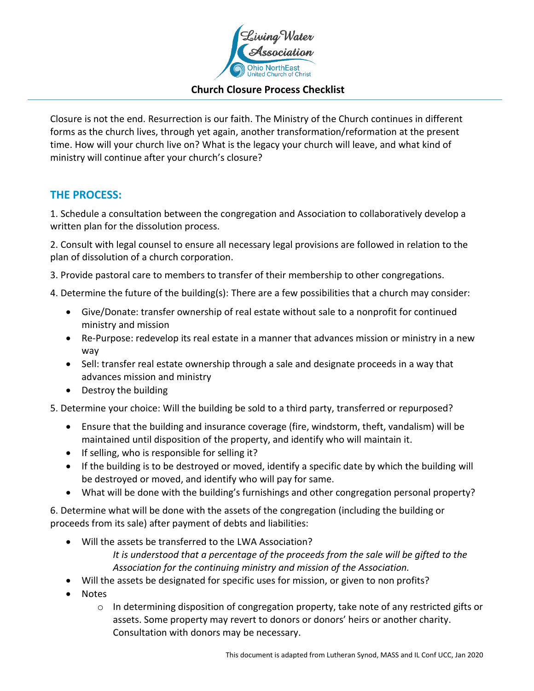

#### **Church Closure Process Checklist**

Closure is not the end. Resurrection is our faith. The Ministry of the Church continues in different forms as the church lives, through yet again, another transformation/reformation at the present time. How will your church live on? What is the legacy your church will leave, and what kind of ministry will continue after your church's closure?

#### **THE PROCESS:**

1. Schedule a consultation between the congregation and Association to collaboratively develop a written plan for the dissolution process.

2. Consult with legal counsel to ensure all necessary legal provisions are followed in relation to the plan of dissolution of a church corporation.

3. Provide pastoral care to members to transfer of their membership to other congregations.

4. Determine the future of the building(s): There are a few possibilities that a church may consider:

- Give/Donate: transfer ownership of real estate without sale to a nonprofit for continued ministry and mission
- Re-Purpose: redevelop its real estate in a manner that advances mission or ministry in a new way
- Sell: transfer real estate ownership through a sale and designate proceeds in a way that advances mission and ministry
- Destroy the building

5. Determine your choice: Will the building be sold to a third party, transferred or repurposed?

- Ensure that the building and insurance coverage (fire, windstorm, theft, vandalism) will be maintained until disposition of the property, and identify who will maintain it.
- If selling, who is responsible for selling it?
- If the building is to be destroyed or moved, identify a specific date by which the building will be destroyed or moved, and identify who will pay for same.
- What will be done with the building's furnishings and other congregation personal property?

6. Determine what will be done with the assets of the congregation (including the building or proceeds from its sale) after payment of debts and liabilities:

- Will the assets be transferred to the LWA Association? *It is understood that a percentage of the proceeds from the sale will be gifted to the Association for the continuing ministry and mission of the Association.*
- Will the assets be designated for specific uses for mission, or given to non profits?
- Notes
	- o In determining disposition of congregation property, take note of any restricted gifts or assets. Some property may revert to donors or donors' heirs or another charity. Consultation with donors may be necessary.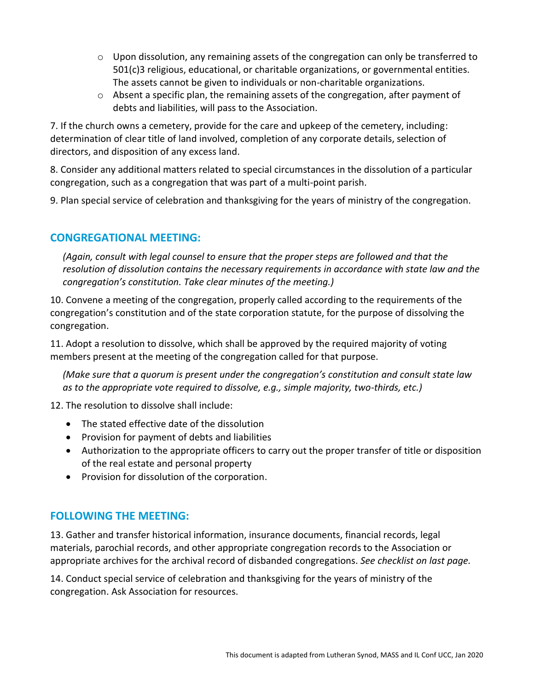- o Upon dissolution, any remaining assets of the congregation can only be transferred to 501(c)3 religious, educational, or charitable organizations, or governmental entities. The assets cannot be given to individuals or non-charitable organizations.
- o Absent a specific plan, the remaining assets of the congregation, after payment of debts and liabilities, will pass to the Association.

7. If the church owns a cemetery, provide for the care and upkeep of the cemetery, including: determination of clear title of land involved, completion of any corporate details, selection of directors, and disposition of any excess land.

8. Consider any additional matters related to special circumstances in the dissolution of a particular congregation, such as a congregation that was part of a multi-point parish.

9. Plan special service of celebration and thanksgiving for the years of ministry of the congregation.

## **CONGREGATIONAL MEETING:**

*(Again, consult with legal counsel to ensure that the proper steps are followed and that the resolution of dissolution contains the necessary requirements in accordance with state law and the congregation's constitution. Take clear minutes of the meeting.)*

10. Convene a meeting of the congregation, properly called according to the requirements of the congregation's constitution and of the state corporation statute, for the purpose of dissolving the congregation.

11. Adopt a resolution to dissolve, which shall be approved by the required majority of voting members present at the meeting of the congregation called for that purpose.

*(Make sure that a quorum is present under the congregation's constitution and consult state law as to the appropriate vote required to dissolve, e.g., simple majority, two-thirds, etc.)*

12. The resolution to dissolve shall include:

- The stated effective date of the dissolution
- Provision for payment of debts and liabilities
- Authorization to the appropriate officers to carry out the proper transfer of title or disposition of the real estate and personal property
- Provision for dissolution of the corporation.

## **FOLLOWING THE MEETING:**

13. Gather and transfer historical information, insurance documents, financial records, legal materials, parochial records, and other appropriate congregation records to the Association or appropriate archives for the archival record of disbanded congregations. *See checklist on last page.*

14. Conduct special service of celebration and thanksgiving for the years of ministry of the congregation. Ask Association for resources.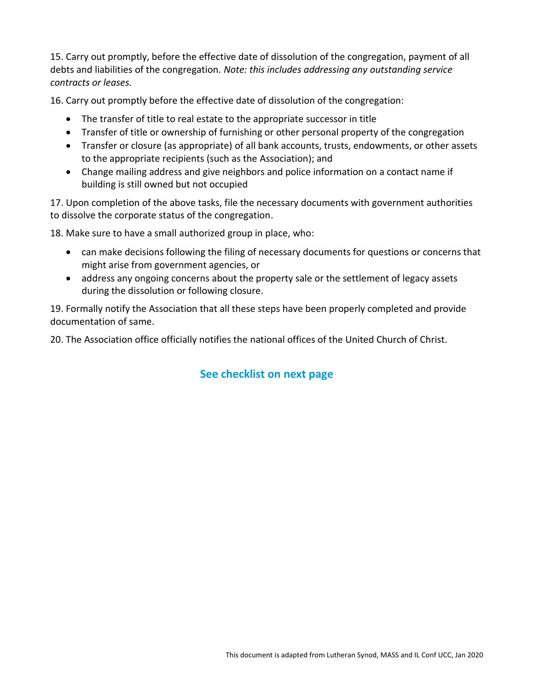15. Carry out promptly, before the effective date of dissolution of the congregation, payment of all debts and liabilities of the congregation. *Note: this includes addressing any outstanding service contracts or leases.* 

16. Carry out promptly before the effective date of dissolution of the congregation:

- The transfer of title to real estate to the appropriate successor in title
- Transfer of title or ownership of furnishing or other personal property of the congregation
- Transfer or closure (as appropriate) of all bank accounts, trusts, endowments, or other assets to the appropriate recipients (such as the Association); and
- Change mailing address and give neighbors and police information on a contact name if building is still owned but not occupied

17. Upon completion of the above tasks, file the necessary documents with government authorities to dissolve the corporate status of the congregation.

18. Make sure to have a small authorized group in place, who:

- can make decisions following the filing of necessary documents for questions or concerns that might arise from government agencies, or
- address any ongoing concerns about the property sale or the settlement of legacy assets during the dissolution or following closure.

19. Formally notify the Association that all these steps have been properly completed and provide documentation of same.

20. The Association office officially notifies the national offices of the United Church of Christ.

# **See checklist on next page**